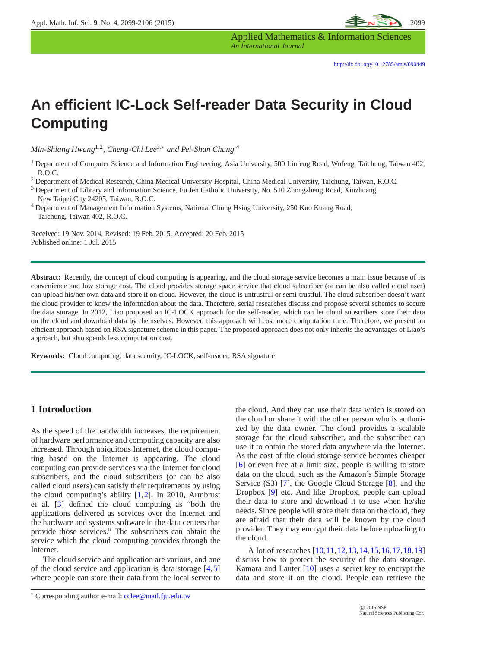

Applied Mathematics & Information Sciences *An International Journal*

# **An efficient IC-Lock Self-reader Data Security in Cloud Computing**

*Min-Shiang Hwang*1,<sup>2</sup> *, Cheng-Chi Lee*3,<sup>∗</sup> *and Pei-Shan Chung* <sup>4</sup>

<sup>2</sup> Department of Medical Research, China Medical University Hospital, China Medical University, Taichung, Taiwan, R.O.C.

<sup>3</sup> Department of Library and Information Science, Fu Jen Catholic University, No. 510 Zhongzheng Road, Xinzhuang, New Taipei City 24205, Taiwan, R.O.C.

<sup>4</sup> Department of Management Information Systems, National Chung Hsing University, 250 Kuo Kuang Road, Taichung, Taiwan 402, R.O.C.

Received: 19 Nov. 2014, Revised: 19 Feb. 2015, Accepted: 20 Feb. 2015 Published online: 1 Jul. 2015

**Abstract:** Recently, the concept of cloud computing is appearing, and the cloud storage service becomes a main issue because of its convenience and low storage cost. The cloud provides storage space service that cloud subscriber (or can be also called cloud user) can upload his/her own data and store it on cloud. However, the cloud is untrustful or semi-trustful. The cloud subscriber doesn't want the cloud provider to know the information about the data. Therefore, serial researches discuss and propose several schemes to secure the data storage. In 2012, Liao proposed an IC-LOCK approach for the self-reader, which can let cloud subscribers store their data on the cloud and download data by themselves. However, this approach will cost more computation time. Therefore, we present an efficient approach based on RSA signature scheme in this paper. The proposed approach does not only inherits the advantages of Liao's approach, but also spends less computation cost.

**Keywords:** Cloud computing, data security, IC-LOCK, self-reader, RSA signature

## **1 Introduction**

As the speed of the bandwidth increases, the requirement of hardware performance and computing capacity are also increased. Through ubiquitous Internet, the cloud computing based on the Internet is appearing. The cloud computing can provide services via the Internet for cloud subscribers, and the cloud subscribers (or can be also called cloud users) can satisfy their requirements by using the cloud computing's ability [\[1,](#page-5-0)[2\]](#page-6-0). In 2010, Armbrust et al. [\[3\]](#page-6-1) defined the cloud computing as "both the applications delivered as services over the Internet and the hardware and systems software in the data centers that provide those services." The subscribers can obtain the service which the cloud computing provides through the Internet.

The cloud service and application are various, and one of the cloud service and application is data storage [\[4,](#page-6-2)[5\]](#page-6-3) where people can store their data from the local server to the cloud. And they can use their data which is stored on the cloud or share it with the other person who is authorized by the data owner. The cloud provides a scalable storage for the cloud subscriber, and the subscriber can use it to obtain the stored data anywhere via the Internet. As the cost of the cloud storage service becomes cheaper [\[6\]](#page-6-4) or even free at a limit size, people is willing to store data on the cloud, such as the Amazon's Simple Storage Service (S3) [\[7\]](#page-6-5), the Google Cloud Storage [\[8\]](#page-6-6), and the Dropbox [\[9\]](#page-6-7) etc. And like Dropbox, people can upload their data to store and download it to use when he/she needs. Since people will store their data on the cloud, they are afraid that their data will be known by the cloud provider. They may encrypt their data before uploading to the cloud.

A lot of researches [\[10,](#page-6-8)[11,](#page-6-9)[12,](#page-6-10)[13,](#page-6-11)[14,](#page-6-12)[15,](#page-6-13)[16,](#page-6-14)[17,](#page-6-15)[18,](#page-6-16)[19\]](#page-6-17) discuss how to protect the security of the data storage. Kamara and Lauter [\[10\]](#page-6-8) uses a secret key to encrypt the data and store it on the cloud. People can retrieve the

<sup>1</sup> Department of Computer Science and Information Engineering, Asia University, 500 Liufeng Road, Wufeng, Taichung, Taiwan 402, R.O.C.

<sup>∗</sup> Corresponding author e-mail: cclee@mail.fju.edu.tw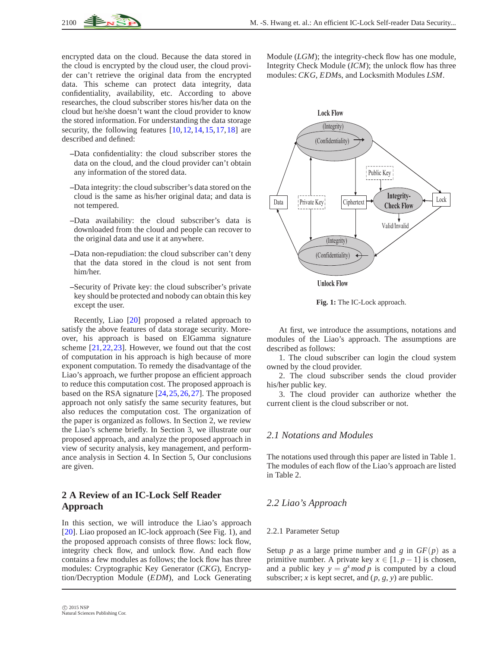encrypted data on the cloud. Because the data stored in the cloud is encrypted by the cloud user, the cloud provider can't retrieve the original data from the encrypted data. This scheme can protect data integrity, data confidentiality, availability, etc. According to above researches, the cloud subscriber stores his/her data on the cloud but he/she doesn't want the cloud provider to know the stored information. For understanding the data storage security, the following features  $[10, 12, 14, 15, 17, 18]$  $[10, 12, 14, 15, 17, 18]$  $[10, 12, 14, 15, 17, 18]$  $[10, 12, 14, 15, 17, 18]$  $[10, 12, 14, 15, 17, 18]$  $[10, 12, 14, 15, 17, 18]$  $[10, 12, 14, 15, 17, 18]$  $[10, 12, 14, 15, 17, 18]$  $[10, 12, 14, 15, 17, 18]$  $[10, 12, 14, 15, 17, 18]$  are described and defined:

- **–**Data confidentiality: the cloud subscriber stores the data on the cloud, and the cloud provider can't obtain any information of the stored data.
- **–**Data integrity: the cloud subscriber's data stored on the cloud is the same as his/her original data; and data is not tempered.
- **–**Data availability: the cloud subscriber's data is downloaded from the cloud and people can recover to the original data and use it at anywhere.
- **–**Data non-repudiation: the cloud subscriber can't deny that the data stored in the cloud is not sent from him/her.
- **–**Security of Private key: the cloud subscriber's private key should be protected and nobody can obtain this key except the user.

Recently, Liao [\[20\]](#page-6-18) proposed a related approach to satisfy the above features of data storage security. Moreover, his approach is based on ElGamma signature scheme [\[21,](#page-6-19)[22,](#page-6-20)[23\]](#page-6-21). However, we found out that the cost of computation in his approach is high because of more exponent computation. To remedy the disadvantage of the Liao's approach, we further propose an efficient approach to reduce this computation cost. The proposed approach is based on the RSA signature [\[24,](#page-6-22)[25,](#page-6-23)[26,](#page-6-24)[27\]](#page-6-25). The proposed approach not only satisfy the same security features, but also reduces the computation cost. The organization of the paper is organized as follows. In Section 2, we review the Liao's scheme briefly. In Section 3, we illustrate our proposed approach, and analyze the proposed approach in view of security analysis, key management, and performance analysis in Section 4. In Section 5, Our conclusions are given.

# **2 A Review of an IC-Lock Self Reader Approach**

In this section, we will introduce the Liao's approach [\[20\]](#page-6-18). Liao proposed an IC-lock approach (See Fig. 1), and the proposed approach consists of three flows: lock flow, integrity check flow, and unlock flow. And each flow contains a few modules as follows; the lock flow has three modules: Cryptographic Key Generator (*CKG*), Encryption/Decryption Module (*EDM*), and Lock Generating

Module (*LGM*); the integrity-check flow has one module, Integrity Check Module (*ICM*); the unlock flow has three modules: *CKG*, *EDM*s, and Locksmith Modules *LSM*.



**Fig. 1:** The IC-Lock approach.

At first, we introduce the assumptions, notations and modules of the Liao's approach. The assumptions are described as follows:

1. The cloud subscriber can login the cloud system owned by the cloud provider.

2. The cloud subscriber sends the cloud provider his/her public key.

3. The cloud provider can authorize whether the current client is the cloud subscriber or not.

## *2.1 Notations and Modules*

The notations used through this paper are listed in Table 1. The modules of each flow of the Liao's approach are listed in Table 2.

## *2.2 Liao's Approach*

#### 2.2.1 Parameter Setup

Setup *p* as a large prime number and *g* in  $GF(p)$  as a primitive number. A private key  $x \in [1, p-1]$  is chosen, and a public key  $y = g^x \mod p$  is computed by a cloud subscriber; *x* is kept secret, and  $(p, g, y)$  are public.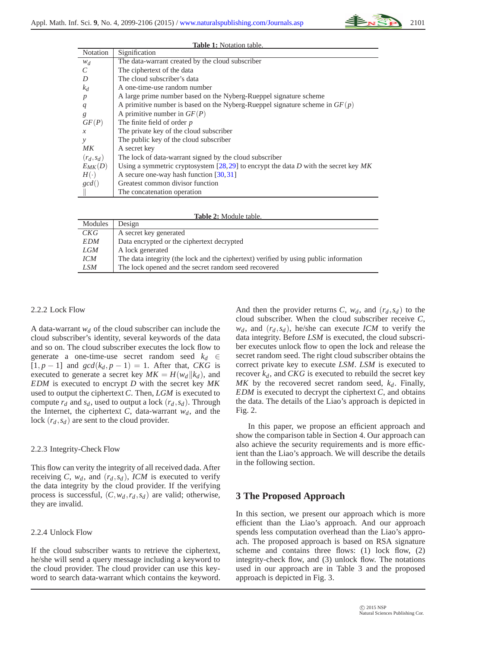| <b>Table 1:</b> Notation table. |                                                                                       |  |  |  |
|---------------------------------|---------------------------------------------------------------------------------------|--|--|--|
| Notation                        | Signification                                                                         |  |  |  |
| $W_d$                           | The data-warrant created by the cloud subscriber                                      |  |  |  |
| C                               | The ciphertext of the data                                                            |  |  |  |
| D                               | The cloud subscriber's data                                                           |  |  |  |
| $k_d$                           | A one-time-use random number                                                          |  |  |  |
| $\boldsymbol{p}$                | A large prime number based on the Nyberg-Rueppel signature scheme                     |  |  |  |
| q                               | A primitive number is based on the Nyberg-Rueppel signature scheme in $GF(p)$         |  |  |  |
| g                               | A primitive number in $GF(P)$                                                         |  |  |  |
| GF(P)                           | The finite field of order $p$                                                         |  |  |  |
| $\mathcal{X}$                   | The private key of the cloud subscriber                                               |  |  |  |
| y                               | The public key of the cloud subscriber                                                |  |  |  |
| MK                              | A secret key                                                                          |  |  |  |
| $(r_d, s_d)$                    | The lock of data-warrant signed by the cloud subscriber                               |  |  |  |
| $E_{MK}(D)$                     | Using a symmetric cryptosystem [28,29] to encrypt the data D with the secret key $MK$ |  |  |  |
| $H(\cdot)$                      | A secure one-way hash function $[30, 31]$                                             |  |  |  |
| gcd()                           | Greatest common divisor function                                                      |  |  |  |
|                                 | The concatenation operation                                                           |  |  |  |

| <b>Table 2: Module table.</b> |                                                                                       |  |  |
|-------------------------------|---------------------------------------------------------------------------------------|--|--|
| Modules                       | Design                                                                                |  |  |
| CKG                           | A secret key generated                                                                |  |  |
| <b>EDM</b>                    | Data encrypted or the ciphertext decrypted                                            |  |  |
| LGM                           | A lock generated                                                                      |  |  |
| <b>ICM</b>                    | The data integrity (the lock and the ciphertext) verified by using public information |  |  |
| LSM                           | The lock opened and the secret random seed recovered                                  |  |  |

#### 2.2.2 Lock Flow

A data-warrant  $w_d$  of the cloud subscriber can include the cloud subscriber's identity, several keywords of the data and so on. The cloud subscriber executes the lock flow to generate a one-time-use secret random seed  $k_d \in$  $[1, p - 1]$  and  $gcd(k_d, p - 1) = 1$ . After that, *CKG* is executed to generate a secret key  $MK = H(w_d || k_d)$ , and *EDM* is executed to encrypt *D* with the secret key *MK* used to output the ciphertext *C*. Then, *LGM* is executed to compute  $r_d$  and  $s_d$ , used to output a lock  $(r_d, s_d)$ . Through the Internet, the ciphertext *C*, data-warrant  $w_d$ , and the lock  $(r_d, s_d)$  are sent to the cloud provider.

#### 2.2.3 Integrity-Check Flow

This flow can verity the integrity of all received dada. After receiving *C*,  $w_d$ , and  $(r_d, s_d)$ , *ICM* is executed to verify the data integrity by the cloud provider. If the verifying process is successful,  $(C, w_d, r_d, s_d)$  are valid; otherwise, they are invalid.

#### 2.2.4 Unlock Flow

If the cloud subscriber wants to retrieve the ciphertext, he/she will send a query message including a keyword to the cloud provider. The cloud provider can use this keyword to search data-warrant which contains the keyword. And then the provider returns *C*,  $w_d$ , and  $(r_d, s_d)$  to the cloud subscriber. When the cloud subscriber receive *C*,  $w_d$ , and  $(r_d, s_d)$ , he/she can execute *ICM* to verify the data integrity. Before *LSM* is executed, the cloud subscriber executes unlock flow to open the lock and release the secret random seed. The right cloud subscriber obtains the correct private key to execute *LSM*. *LSM* is executed to recover  $k_d$ , and *CKG* is executed to rebuild the secret key *MK* by the recovered secret random seed, *kd*. Finally, *EDM* is executed to decrypt the ciphertext *C*, and obtains the data. The details of the Liao's approach is depicted in Fig. 2.

In this paper, we propose an efficient approach and show the comparison table in Section 4. Our approach can also achieve the security requirements and is more efficient than the Liao's approach. We will describe the details in the following section.

# **3 The Proposed Approach**

In this section, we present our approach which is more efficient than the Liao's approach. And our approach spends less computation overhead than the Liao's approach. The proposed approach is based on RSA signature scheme and contains three flows: (1) lock flow, (2) integrity-check flow, and (3) unlock flow. The notations used in our approach are in Table 3 and the proposed approach is depicted in Fig. 3.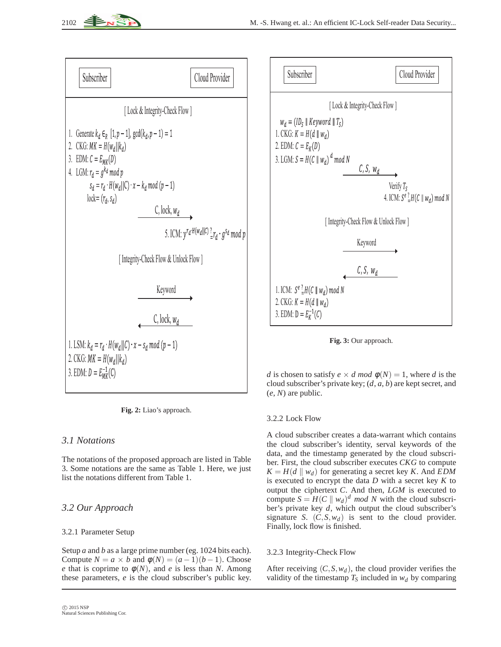





# *3.1 Notations*

The notations of the proposed approach are listed in Table 3. Some notations are the same as Table 1. Here, we just list the notations different from Table 1.

# *3.2 Our Approach*

## 3.2.1 Parameter Setup

Setup *a* and *b* as a large prime number (eg. 1024 bits each). Compute  $N = a \times b$  and  $\phi(N) = (a-1)(b-1)$ . Choose *e* that is coprime to  $\phi(N)$ , and *e* is less than *N*. Among these parameters, *e* is the cloud subscriber's public key.



**Fig. 3:** Our approach.

*d* is chosen to satisfy  $e \times d \mod p(N) = 1$ , where *d* is the cloud subscriber's private key; (*d*, *a*, *b*) are kept secret, and (*e*, *N*) are public.

## 3.2.2 Lock Flow

A cloud subscriber creates a data-warrant which contains the cloud subscriber's identity, serval keywords of the data, and the timestamp generated by the cloud subscriber. First, the cloud subscriber executes *CKG* to compute  $K = H(d || w_d)$  for generating a secret key *K*. And *EDM* is executed to encrypt the data *D* with a secret key *K* to output the ciphertext *C*. And then, *LGM* is executed to compute  $S = H(C \parallel w_d)^d \mod N$  with the cloud subscriber's private key *d*, which output the cloud subscriber's signature *S*.  $(C, S, w_d)$  is sent to the cloud provider. Finally, lock flow is finished.

## 3.2.3 Integrity-Check Flow

After receiving  $(C, S, w_d)$ , the cloud provider verifies the validity of the timestamp  $T<sub>S</sub>$  included in  $w<sub>d</sub>$  by comparing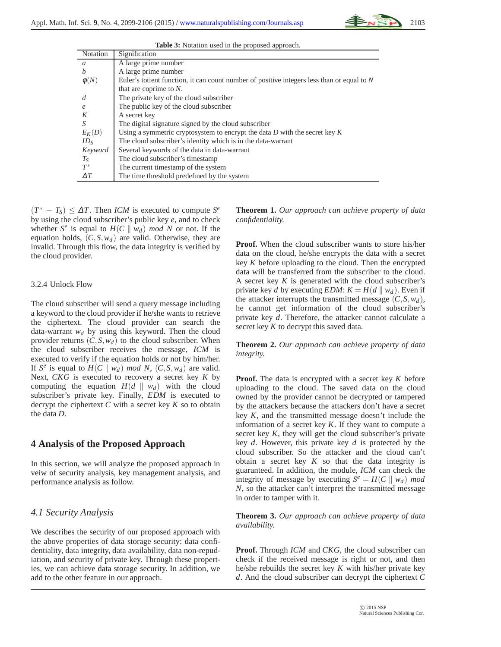**Table 3:** Notation used in the proposed approach.

| <b>Notation</b> | Signification                                                                                |
|-----------------|----------------------------------------------------------------------------------------------|
| $\mathfrak a$   | A large prime number                                                                         |
| h               | A large prime number                                                                         |
| $\phi(N)$       | Euler's totient function, it can count number of positive integers less than or equal to $N$ |
|                 | that are coprime to $N$ .                                                                    |
| d               | The private key of the cloud subscriber                                                      |
| e               | The public key of the cloud subscriber                                                       |
| K               | A secret key                                                                                 |
| S               | The digital signature signed by the cloud subscriber                                         |
| $E_K(D)$        | Using a symmetric cryptosystem to encrypt the data $D$ with the secret key $K$               |
| $ID_S$          | The cloud subscriber's identity which is in the data-warrant                                 |
| Keyword         | Several keywords of the data in data-warrant                                                 |
| $T_S$           | The cloud subscriber's timestamp                                                             |
| $T^*$           | The current timestamp of the system                                                          |
| $\Delta T$      | The time threshold predefined by the system                                                  |

 $(T^* - T_S) \leq \Delta T$ . Then *ICM* is executed to compute  $S^e$ by using the cloud subscriber's public key *e*, and to check whether  $S^e$  is equal to  $H(C \parallel w_d)$  mod N or not. If the equation holds, (*C*,*S*,*wd*) are valid. Otherwise, they are invalid. Through this flow, the data integrity is verified by the cloud provider.

#### 3.2.4 Unlock Flow

The cloud subscriber will send a query message including a keyword to the cloud provider if he/she wants to retrieve the ciphertext. The cloud provider can search the data-warrant  $w_d$  by using this keyword. Then the cloud provider returns  $(C, S, w_d)$  to the cloud subscriber. When the cloud subscriber receives the message, *ICM* is executed to verify if the equation holds or not by him/her. If *S*<sup>*e*</sup> is equal to *H*(*C*  $||$  *w<sub>d</sub>*) *mod N*, (*C*, *S*, *w<sub>d</sub>*) are valid. Next, *CKG* is executed to recovery a secret key *K* by computing the equation  $H(d \parallel w_d)$  with the cloud subscriber's private key. Finally, *EDM* is executed to decrypt the ciphertext *C* with a secret key *K* so to obtain the data *D*.

#### **4 Analysis of the Proposed Approach**

In this section, we will analyze the proposed approach in veiw of security analysis, key management analysis, and performance analysis as follow.

#### *4.1 Security Analysis*

We describes the security of our proposed approach with the above properties of data storage security: data confidentiality, data integrity, data availability, data non-repudiation, and security of private key. Through these properties, we can achieve data storage security. In addition, we add to the other feature in our approach.

**Theorem 1.** *Our approach can achieve property of data confidentiality.*

**Proof.** When the cloud subscriber wants to store his/her data on the cloud, he/she encrypts the data with a secret key *K* before uploading to the cloud. Then the encrypted data will be transferred from the subscriber to the cloud. A secret key *K* is generated with the cloud subscriber's private key *d* by executing *EDM*:  $K = H(d \parallel w_d)$ . Even if the attacker interrupts the transmitted message  $(C, S, w_d)$ , he cannot get information of the cloud subscriber's private key *d*. Therefore, the attacker cannot calculate a secret key *K* to decrypt this saved data.

**Theorem 2.** *Our approach can achieve property of data integrity.*

**Proof.** The data is encrypted with a secret key *K* before uploading to the cloud. The saved data on the cloud owned by the provider cannot be decrypted or tampered by the attackers because the attackers don't have a secret key *K*, and the transmitted message doesn't include the information of a secret key *K*. If they want to compute a secret key *K*, they will get the cloud subscriber's private key *d*. However, this private key *d* is protected by the cloud subscriber. So the attacker and the cloud can't obtain a secret key  $K$  so that the data integrity is guaranteed. In addition, the module, *ICM* can check the integrity of message by executing  $S^e = H(C \parallel w_d)$  *mod N*, so the attacker can't interpret the transmitted message in order to tamper with it.

**Theorem 3.** *Our approach can achieve property of data availability.*

**Proof.** Through *ICM* and *CKG*, the cloud subscriber can check if the received message is right or not, and then he/she rebuilds the secret key *K* with his/her private key *d*. And the cloud subscriber can decrypt the ciphertext *C*

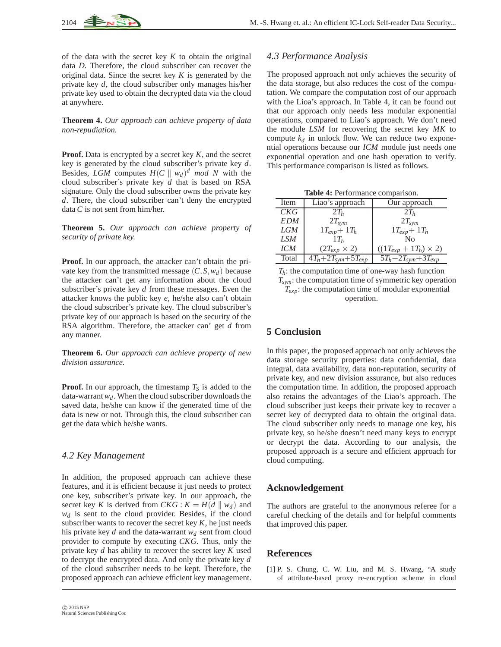of the data with the secret key *K* to obtain the original data *D*. Therefore, the cloud subscriber can recover the original data. Since the secret key *K* is generated by the private key *d*, the cloud subscriber only manages his/her private key used to obtain the decrypted data via the cloud at anywhere.

**Theorem 4.** *Our approach can achieve property of data non-repudiation.*

**Proof.** Data is encrypted by a secret key *K*, and the secret key is generated by the cloud subscriber's private key *d*. Besides, *LGM* computes  $H(C \parallel w_d)^d$  *mod N* with the cloud subscriber's private key *d* that is based on RSA signature. Only the cloud subscriber owns the private key *d*. There, the cloud subscriber can't deny the encrypted data *C* is not sent from him/her.

**Theorem 5.** *Our approach can achieve property of security of private key.*

**Proof.** In our approach, the attacker can't obtain the private key from the transmitted message  $(C, S, w_d)$  because the attacker can't get any information about the cloud subscriber's private key *d* from these messages. Even the attacker knows the public key *e*, he/she also can't obtain the cloud subscriber's private key. The cloud subscriber's private key of our approach is based on the security of the RSA algorithm. Therefore, the attacker can' get *d* from any manner.

**Theorem 6.** *Our approach can achieve property of new division assurance.*

**Proof.** In our approach, the timestamp  $T<sub>S</sub>$  is added to the data-warrant  $w_d$ . When the cloud subscriber downloads the saved data, he/she can know if the generated time of the data is new or not. Through this, the cloud subscriber can get the data which he/she wants.

## *4.2 Key Management*

In addition, the proposed approach can achieve these features, and it is efficient because it just needs to protect one key, subscriber's private key. In our approach, the secret key *K* is derived from *CKG* :  $K = H(d \parallel w_d)$  and  $w_d$  is sent to the cloud provider. Besides, if the cloud subscriber wants to recover the secret key *K*, he just needs his private key *d* and the data-warrant  $w_d$  sent from cloud provider to compute by executing *CKG*. Thus, only the private key *d* has ability to recover the secret key *K* used to decrypt the encrypted data. And only the private key *d* of the cloud subscriber needs to be kept. Therefore, the proposed approach can achieve efficient key management.

## *4.3 Performance Analysis*

The proposed approach not only achieves the security of the data storage, but also reduces the cost of the computation. We compare the computation cost of our approach with the Lioa's approach. In Table 4, it can be found out that our approach only needs less modular exponential operations, compared to Liao's approach. We don't need the module *LSM* for recovering the secret key *MK* to compute  $k_d$  in unlock flow. We can reduce two exponential operations because our *ICM* module just needs one exponential operation and one hash operation to verify. This performance comparison is listed as follows.

**Table 4:** Performance comparison.

| Item       | Liao's approach          | Our approach                   |
|------------|--------------------------|--------------------------------|
| CKG        | $2T_h$                   | $2T_h$                         |
| <b>EDM</b> | $2T_{sym}$               | $2T_{sym}$                     |
| <b>LGM</b> | $1T_{exp}$ + $1T_h$      | $1T_{exp}$ + $1T_h$            |
| <b>LSM</b> | $1T_h$                   | Nο                             |
| <b>ICM</b> | $(2T_{exp} \times 2)$    | $((1T_{exp} + 1T_h) \times 2)$ |
| Total      | $4T_h+2T_{sym}+5T_{exp}$ | $5T_h+2T_{sym}+3T_{exp}$       |

 $T_h$ : the computation time of one-way hash function *Tsym*: the computation time of symmetric key operation *Texp*: the computation time of modular exponential operation.

# **5 Conclusion**

In this paper, the proposed approach not only achieves the data storage security properties: data confidential, data integral, data availability, data non-reputation, security of private key, and new division assurance, but also reduces the computation time. In addition, the proposed approach also retains the advantages of the Liao's approach. The cloud subscriber just keeps their private key to recover a secret key of decrypted data to obtain the original data. The cloud subscriber only needs to manage one key, his private key, so he/she doesn't need many keys to encrypt or decrypt the data. According to our analysis, the proposed approach is a secure and efficient approach for cloud computing.

# **Acknowledgement**

The authors are grateful to the anonymous referee for a careful checking of the details and for helpful comments that improved this paper.

## **References**

<span id="page-5-0"></span>[1] P. S. Chung, C. W. Liu, and M. S. Hwang, "A study of attribute-based proxy re-encryption scheme in cloud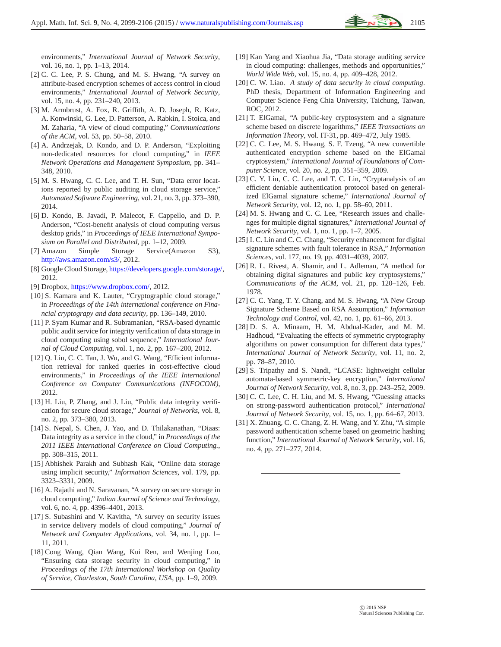environments," *International Journal of Network Security*, vol. 16, no. 1, pp. 1–13, 2014.

- <span id="page-6-0"></span>[2] C. C. Lee, P. S. Chung, and M. S. Hwang, "A survey on attribute-based encryption schemes of access control in cloud environments," *International Journal of Network Security*, vol. 15, no. 4, pp. 231–240, 2013.
- <span id="page-6-1"></span>[3] M. Armbrust, A. Fox, R. Griffith, A. D. Joseph, R. Katz, A. Konwinski, G. Lee, D. Patterson, A. Rabkin, I. Stoica, and M. Zaharia, "A view of cloud computing," *Communications of the ACM*, vol. 53, pp. 50–58, 2010.
- <span id="page-6-2"></span>[4] A. Andrzejak, D. Kondo, and D. P. Anderson, "Exploiting non-dedicated resources for cloud computing," in *IEEE Network Operations and Management Symposium*, pp. 341– 348, 2010.
- <span id="page-6-3"></span>[5] M. S. Hwang, C. C. Lee, and T. H. Sun, "Data error locations reported by public auditing in cloud storage service," *Automated Software Engineering*, vol. 21, no. 3, pp. 373–390, 2014.
- <span id="page-6-4"></span>[6] D. Kondo, B. Javadi, P. Malecot, F. Cappello, and D. P. Anderson, "Cost-benefit analysis of cloud computing versus desktop grids," in *Proceedings of IEEE International Symposium on Parallel and Distributed*, pp. 1–12, 2009.
- <span id="page-6-5"></span>[7] Amazon Simple Storage Service(Amazon S3), [http://aws.amazon.com/s3/,](http://aws.amazon.com/s3/) 2012.
- <span id="page-6-7"></span><span id="page-6-6"></span>[8] Google Cloud Storage, [https://developers.google.com/storage/,](https://developers.google.com/storage/) 2012.
- <span id="page-6-8"></span>[9] Dropbox, [https://www.dropbox.com/,](https://www.dropbox.com/) 2012.
- [10] S. Kamara and K. Lauter, "Cryptographic cloud storage," in *Proceedings of the 14th international conference on Financial cryptograpy and data security*, pp. 136–149, 2010.
- <span id="page-6-9"></span>[11] P. Syam Kumar and R. Subramanian, "RSA-based dynamic public audit service for integrity verification of data storage in cloud computing using sobol sequence," *International Journal of Cloud Computing*, vol. 1, no. 2, pp. 167–200, 2012.
- <span id="page-6-10"></span>[12] Q. Liu, C. C. Tan, J. Wu, and G. Wang, "Efficient information retrieval for ranked queries in cost-effective cloud environments," in *Proceedings of the IEEE International Conference on Computer Communications (INFOCOM)*, 2012.
- <span id="page-6-11"></span>[13] H. Liu, P. Zhang, and J. Liu, "Public data integrity verification for secure cloud storage," *Journal of Networks*, vol. 8, no. 2, pp. 373–380, 2013.
- <span id="page-6-12"></span>[14] S. Nepal, S. Chen, J. Yao, and D. Thilakanathan, "Diaas: Data integrity as a service in the cloud," in *Proceedings of the 2011 IEEE International Conference on Cloud Computing.*, pp. 308–315, 2011.
- <span id="page-6-13"></span>[15] Abhishek Parakh and Subhash Kak, "Online data storage using implicit security," *Information Sciences*, vol. 179, pp. 3323–3331, 2009.
- <span id="page-6-14"></span>[16] A. Rajathi and N. Saravanan, "A survey on secure storage in cloud computing," *Indian Journal of Science and Technology*, vol. 6, no. 4, pp. 4396–4401, 2013.
- <span id="page-6-15"></span>[17] S. Subashini and V. Kavitha, "A survey on security issues in service delivery models of cloud computing," *Journal of Network and Computer Applications*, vol. 34, no. 1, pp. 1– 11, 2011.
- <span id="page-6-16"></span>[18] Cong Wang, Qian Wang, Kui Ren, and Wenjing Lou, "Ensuring data storage security in cloud computing," in *Proceedings of the 17th International Workshop on Quality of Service, Charleston, South Carolina, USA*, pp. 1–9, 2009.
- <span id="page-6-17"></span>[19] Kan Yang and Xiaohua Jia, "Data storage auditing service in cloud computing: challenges, methods and opportunities," *World Wide Web*, vol. 15, no. 4, pp. 409–428, 2012.
- <span id="page-6-18"></span>[20] C. W. Liao. *A study of data security in cloud computing*. PhD thesis, Department of Information Engineering and Computer Science Feng Chia University, Taichung, Taiwan, ROC, 2012.
- <span id="page-6-19"></span>[21] T. ElGamal, "A public-key cryptosystem and a signature scheme based on discrete logarithms," *IEEE Transactions on Information Theory*, vol. IT-31, pp. 469–472, July 1985.
- <span id="page-6-20"></span>[22] C. C. Lee, M. S. Hwang, S. F. Tzeng, "A new convertible authenticated encryption scheme based on the ElGamal cryptosystem," *International Journal of Foundations of Computer Science*, vol. 20, no. 2, pp. 351–359, 2009.
- <span id="page-6-21"></span>[23] C. Y. Liu, C. C. Lee, and T. C. Lin, "Cryptanalysis of an efficient deniable authentication protocol based on generalized ElGamal signature scheme," *International Journal of Network Security*, vol. 12, no. 1, pp. 58–60, 2011.
- <span id="page-6-22"></span>[24] M. S. Hwang and C. C. Lee, "Research issues and challenges for multiple digital signatures," *International Journal of Network Security*, vol. 1, no. 1, pp. 1–7, 2005.
- <span id="page-6-23"></span>[25] I. C. Lin and C. C. Chang, "Security enhancement for digital signature schemes with fault tolerance in RSA," *Information Sciences*, vol. 177, no. 19, pp. 4031–4039, 2007.
- <span id="page-6-24"></span>[26] R. L. Rivest, A. Shamir, and L. Adleman, "A method for obtaining digital signatures and public key cryptosystems," *Communications of the ACM*, vol. 21, pp. 120–126, Feb. 1978.
- <span id="page-6-25"></span>[27] C. C. Yang, T. Y. Chang, and M. S. Hwang, "A New Group Signature Scheme Based on RSA Assumption," *Information Technology and Control*, vol. 42, no. 1, pp. 61–66, 2013.
- <span id="page-6-26"></span>[28] D. S. A. Minaam, H. M. Abdual-Kader, and M. M. Hadhoud, "Evaluating the effects of symmetric cryptography algorithms on power consumption for different data types,' *International Journal of Network Security*, vol. 11, no. 2, pp. 78–87, 2010.
- <span id="page-6-27"></span>[29] S. Tripathy and S. Nandi, "LCASE: lightweight cellular automata-based symmetric-key encryption," *International Journal of Network Security*, vol. 8, no. 3, pp. 243–252, 2009.
- <span id="page-6-28"></span>[30] C. C. Lee, C. H. Liu, and M. S. Hwang, "Guessing attacks on strong-password authentication protocol," *International Journal of Network Security*, vol. 15, no. 1, pp. 64–67, 2013.
- <span id="page-6-29"></span>[31] X. Zhuang, C. C. Chang, Z. H. Wang, and Y. Zhu, "A simple password authentication scheme based on geometric hashing function," *International Journal of Network Security*, vol. 16, no. 4, pp. 271–277, 2014.